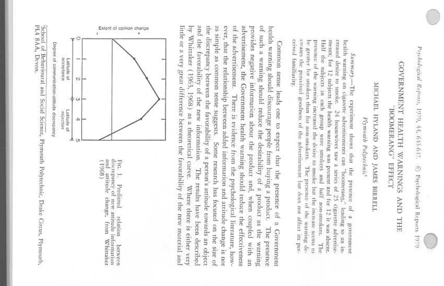## GOVERNMENT HEALTH WARNINGS AND THE BOOMER ANG" КРЕСТ

# MICHAEL HYLAND AND JAMES BIRRELI

Plymouth Polytechnic

health warning on cigarette advertisements can "boomerang," Half the subjects in each group were smokers and creased desire to smoke, ceived familiarity. creases the perceived goodness of the advertisement but does not affect its perments; for 12 subjects the health warning was present and for 12 it was absent. be greater for smokers than for non-smokers. presence of the warning increased the desire to smoke hut the increase seems to Summaray.--The experiment shows that the presence of a government 24 housewives saw a series of 25 cigarette advertise-The presence of the warning dehalf non-smokers. leading to an in-The

and the favorability of the new information. The results have been described little or a very great difference between the favorability of the new material and by Whitnker (1963, 1968) as a theoretical curve. the discrepancy between the favorability of a person's attitude towards an object as simple as common sense suggests. Some research has focused on the size of ever, that the relationship between added information and attitude change is not of the advertisement. There is evidence from the psychological literature, howadvertisement, the Government health warning should reduce the effectiveness provides negative information about the product and, of such a warning should reduce the desirability of a product as the warning health warning should discourage people from buying a product. Common sense leads one to expect that the presence of a Government Where there is either very when coupled with an The presence



 $_{\rm and}$ discrepancy of new attitude information  $(1968)$ FIG. 1. attitude change, from Predicted relation Whitaker between

PL4 8AA, Devon. School of Behavioural and Social Science, Plymouth Polytechnic, Drake Circus, Plymouth,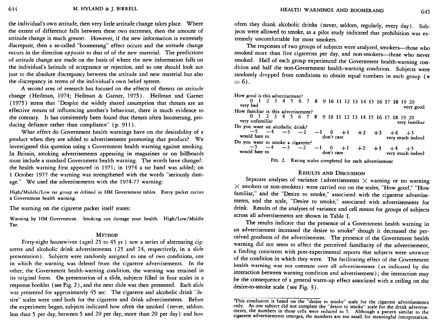the individual's own attitude, then very little attitude change takes place. Where the extent of difference falls between these two extremes, then the amount of attitude change is much greater. However, if the new information is extremely discrepant, then a so-called "boomerang" effect occurs and the attitude change occurs in the direction *opposite* to that of of the new material. The predictions of attitude change are made on the basis of where the new information falls on the individual's latitude of acceptance or rejection, and so one should look not just to the absolute discrepancy between the attitude and new material but also the discrepancy in terms of the individual's own belief system.

A second area of research has focused on the effects of threats on attitude change (Heilman, 1974; Heilman & Garner, 1975). Heilman and Garner (1975) stress that "Despite the widely shared assumption that threats are an effective means of influencing another's behaviour, there is much evidence to the contrary. It has consistently been found that threats often boomerang, producing defiance rather than compliance" (p. 911).

What effect do Government health warnings have on the desirability of a product when they are added to advertisements promoting that product? We investigated this question using a Government health warning against smoking. In Britain, smoking advertisements appearing in magazines or on billboards must include a standard Government health warning. The words have changed: the health warning first appeared in 1971; in 1974 a tar band was added; on 1 October 1977 the warning was strengthened with the words "seriously damage." We used the advertisements with the 1974-77 warning:

High/Middle/Low tar group as defined in HM Government tables. Every packet carries a Government health warning.

The warning on the cigarette packet itself states:

Warning by HM Government. Smoking can damage your health. High/Low/Middle Tar.

### **METHOD**

Forty-eight housewives (aged 25 to 45 yr.) saw a series of alternating cigarette and alcoholic drink advertisements (25 and 24, respectively, in a slide presentation). Subjects were randomly assigned to one of two conditions, one in which the warning was deleted from the cigarette advertisements. In the other, the Government health-warning condition, the warning was retained in its original form. On presentation of a slide, subjects filled in four scales in a response booklet (see Fig. 2), and the next slide was then presented. Each slide was presented for approximately 45 sec. The cigarette and alcoholic drink "desire" scales were used both for the cigarette and drink advertisements. Before the experiment began, subjects indicated how often the smoked (never, seldom. less than 5 per day, between 5 and 20 per day, more than 20 per day) and how

often they drank alcoholic drinks (never, seldom, regularly, every day). Subjects were allowed to smoke, as a pilot study indicated that prohibition was extremely uncomfortable for most smokers.

The responses of two groups of subjects were analyzed, smokers-those who smoked more than five cigarettes per day, and non-smokers-those who never smoked. Half of each group experienced the Government health-warning condition and half the non-Government health-warning condition. Subjects were randomly dropped from conditions to obtain equal numbers in each group  $(n$  $= 6$ .

How good is this advertisement?

| very bad                            |  |  |  |  |  |  |  |  |  | 0 1 2 3 4 5 6 7 8 9 10 11 12 13 14 15 16 17 18 19 20 | very good                                                                                           |
|-------------------------------------|--|--|--|--|--|--|--|--|--|------------------------------------------------------|-----------------------------------------------------------------------------------------------------|
| How familiar is this advertisement? |  |  |  |  |  |  |  |  |  |                                                      |                                                                                                     |
| very unfamiliar                     |  |  |  |  |  |  |  |  |  | 0 1 2 3 4 5 6 7 8 9 10 11 12 13 14 15 16 17 18 19 20 | very familiar                                                                                       |
| Do you want an alcoholic drink?     |  |  |  |  |  |  |  |  |  |                                                      |                                                                                                     |
| would hate to                       |  |  |  |  |  |  |  |  |  |                                                      | $-5$ $-4$ $-3$ $-2$ $-1$ 0 $+1$ $+2$ $+3$ $+4$ $+5$<br>don't care<br>don't care<br>very much indeed |
| Do you want to smoke a cigarette?   |  |  |  |  |  |  |  |  |  |                                                      |                                                                                                     |
| would hate to                       |  |  |  |  |  |  |  |  |  |                                                      | $-5$ $-4$ $-3$ $-2$ $-1$ 0 $+1$ $+2$ $+3$ $+4$ $+5$<br>dd hate to don't care very much indeed       |



## **RESULTS AND DISCUSSION**

Separate analyses of variance (advertisements  $\times$  warning or no warning  $\times$  smokers or non-smokers) were carried out on the scales, "How good," "How familiar," and the "Desire to smoke," associated with the cigarette advertisements, and the scale, "Desire to smoke," associated with advertisements for drink. Results of the analyses of variance and cell means for groups of subjects across all advertisements are shown in Table 1.

The results indicate that the presence of a Government health warning in an advertisement increased the desire to smoke<sup>2</sup> though it decreased the perceived goodness of the advertisement. The presence of the Government health warning did not seem to affect the perceived familiarity of the advertisement, a finding consistent with post-experimental reports that subjects were unaware of the condition in which they were. The facilitating effect of the Government health warning was not constant over all advertisements (as indicated by the interaction between warning condition and advertisement); the interaction may be the consequence of a general warm-up effect associated with a ceiling on the desire-to-smoke scale (see Fig. 3).

This conclusion is based on the "desire to smoke" scale for the cigarette advertisements only. As one subject did not complete the "desire to smoke" scale for the drink advertisements, the numbers in those cells were reduced to 5. Although a pattern similar to the cigarette advertisements emerges, the numbers are too small for meaningful interpretation.